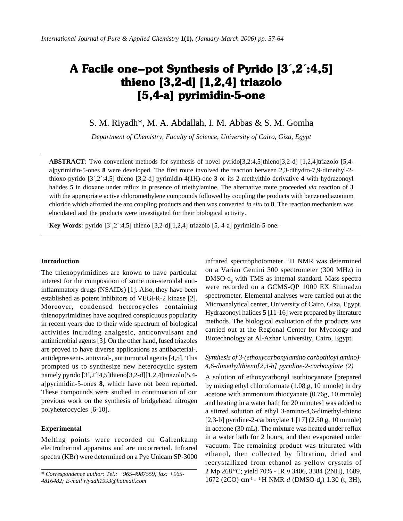# A Facile one–pot Synthesis of Pyrido  $[3^{\prime}, 2^{\prime}:4,5]$ thieno  $[3,2-d]$   $[1,2,4]$  triazolo  $[5,4$ -a] pyrimidin-5-one

S. M. Riyadh\*, M. A. Abdallah, I. M. Abbas & S. M. Gomha

*Department of Chemistry, Faculty of Science, University of Cairo, Giza, Egypt*

**ABSTRACT**: Two convenient methods for synthesis of novel pyrido[3,2:4,5]thieno[3,2-d] [1,2,4]triazolo [5,4 a]pyrimidin-5-ones **8** were developed. The first route involved the reaction between 2,3-dihydro-7,9-dimethyl-2 thioxo-pyrido [3´,2´:4,5] thieno [3,2-d] pyrimidin-4(1H)-one **3** or its 2-methylthio derivative **4** with hydrazonoyl halides **5** in dioxane under reflux in presence of triethylamine. The alternative route proceeded *via* reaction of **3** with the appropriate active chloromethylene compounds followed by coupling the products with benzenediazonium chloride which afforded the azo coupling products and then was converted *in situ* to **8**. The reaction mechanism was elucidated and the products were investigated for their biological activity.

**Key Words**: pyrido  $[3',2',4,5]$  thieno  $[3,2-d][1,2,4]$  triazolo  $[5, 4-a]$  pyrimidin-5-one.

#### **Introduction**

The thienopyrimidines are known to have particular interest for the composition of some non-steroidal antiinflammatory drugs (NSAIDs) [1]. Also, they have been established as potent inhibitors of VEGFR-2 kinase [2]. Moreover, condensed heterocycles containing thienopyrimidines have acquired conspicuous popularity in recent years due to their wide spectrum of biological activities including analgesic, anticonvulsant and antimicrobial agents [3]. On the other hand, fused triazoles are proved to have diverse applications as antibacterial-, antidepressent-, antiviral-, antitumorial agents [4,5]. This prompted us to synthesize new heterocyclic system namely pyrido [3',2':4,5]thieno[3,2-d][1,2,4]triazolo[5,4a]pyrimidin-5-ones **8**, which have not been reported. These compounds were studied in continuation of our previous work on the synthesis of bridgehead nitrogen polyheterocycles [6-10].

#### **Experimental**

Melting points were recorded on Gallenkamp electrothermal apparatus and are uncorrected. Infrared spectra (KBr) were determined on a Pye Unicam SP-3000

infrared spectrophotometer. <sup>1</sup>H NMR was determined on a Varian Gemini 300 spectrometer (300 MHz) in  $DMSO-d<sub>6</sub>$  with TMS as internal standard. Mass spectra were recorded on a GCMS-QP 1000 EX Shimadzu spectrometer. Elemental analyses were carried out at the Microanalytical center, University of Cairo, Giza, Egypt. Hydrazonoyl halides **5** [11-16] were prepared by literature methods. The biological evaluation of the products was carried out at the Regional Center for Mycology and Biotechnology at Al-Azhar University, Cairo, Egypt.

# *Synthesis of 3-(ethoxycarbonylamino carbothioyl amino)- 4,6-dimethylthieno[2,3-b] pyridine-2-carboxylate (2)*

A solution of ethoxycarbonyl isothiocyanate [prepared by mixing ethyl chloroformate (1.08 g, 10 mmole) in dry acetone with ammonium thiocyanate (0.76g, 10 mmole) and heating in a water bath for 20 minutes] was added to a stirred solution of ethyl 3-amino-4,6-dimethyl-thieno [2,3-b] pyridine-2-carboxylate **1** [17] (2.50 g, 10 mmole) in acetone (30 mL). The mixture was heated under reflux in a water bath for 2 hours, and then evaporated under vacuum. The remaining product was triturated with ethanol, then collected by filtration, dried and recrystallized from ethanol as yellow crystals of **2** Mp 268 °C; yield 70% - IR ν 3406, 3384 (2NH), 1689, 1672 (2CO) cm<sup>-1</sup> - <sup>1</sup>H NMR *d* (DMSO-d<sub>6</sub>) 1.30 (t, 3H),

<sup>\*</sup> *Correspondence author: Tel.: +965-4987559; fax: +965- 4816482; E-mail riyadh1993@hotmail.com*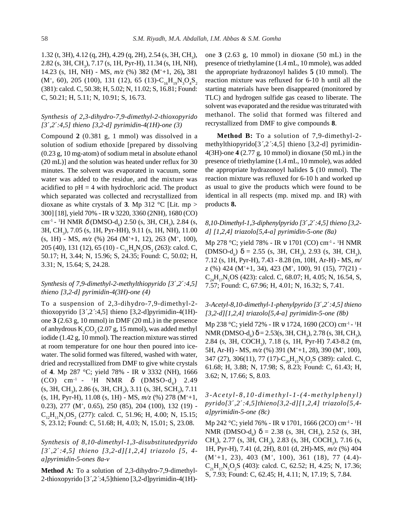1.32 (t, 3H), 4.12 (q, 2H), 4.29 (q, 2H), 2.54 (s, 3H,  $CH_3$ ), 2.82 (s, 3H, CH<sub>3</sub>), 7.17 (s, 1H, Pyr-H), 11.34 (s, 1H, NH), 14.23 (s, 1H, NH) - MS, *m/z* (%) 382 (M++1, 26)**,** 381  $(M^+, 60)$ , 205 (100), 131 (12), 65 (13)- $C_{16}H_{19}N_3O_4S_2$ (381): calcd. C, 50.38; H, 5.02; N, 11.02; S, 16.81; Found: C, 50.21; H, 5.11; N, 10.91; S, 16.73.

# *Synthesis of 2,3-dihydro-7,9-dimethyl-2-thioxopyrido [3*´*,2*´*:4,5] thieno [3,2-d] pyrimidin-4(1H)-one (3)*

Compound **2** (0.381 g, 1 mmol) was dissolved in a solution of sodium ethoxide [prepared by dissolving (0.23 g, 10 mg-atom) of sodium metal in absolute ethanol (20 mL)] and the solution was heated under reflux for 30 minutes. The solvent was evaporated in vacuum, some water was added to the residue, and the mixture was acidified to  $pH = 4$  with hydrochloric acid. The product which separated was collected and recrystallized from dioxane as white crystals of **3**. Mp 312  $^{\circ}$ C [Lit. mp > 300] [18], yield 70% - IR ν 3220, 3360 (2NH), 1680 (CO) cm<sup>-1</sup> - <sup>1</sup>H NMR  $\delta$  (DMSO-d<sub>6</sub>) 2.50 (s, 3H, CH<sub>3</sub>), 2.84 (s, 3H, CH<sub>3</sub>), 7.05 (s, 1H, Pyr-HH), 9.11 (s, 1H, NH), 11.00  $(s, 1H)$  - MS,  $m/z$  (%) 264 (M<sup>+</sup>+1, 12), 263 (M<sup>+</sup>, 100), 205 (40), 131 (12), 65 (10) -  $C_{11}H_9N_3OS_2(263)$ : calcd. C, 50.17; H, 3.44; N, 15.96; S, 24.35; Found: C, 50.02; H, 3.31; N, 15.64; S, 24.28.

# *Synthesis of 7,9-dimethyl-2-methylthiopyrido [3*´*,2*´*:4,5] thieno [3,2-d] pyrimidin-4(3H)-one (4)*

To a suspension of 2,3-dihydro-7,9-dimethyl-2 thioxopyrido [3*´*,2*´*:4,5] thieno [3,2-d]pyrimidin-4(1H) one **3** (2.63 g, 10 mmol) in DMF (20 mL) in the presence of anhydrous  $K_2CO_3(2.07 g, 15 mmol)$ , was added methyl iodide (1.42 g, 10 mmol). The reaction mixture was stirred at room temperature for one hour then poured into icewater. The solid formed was filtered, washed with water, dried and recrystallized from DMF to give white crystals of **4**. Mp 287 °C; yield 78% - IR ν 3332 (NH), 1666 (CO) cm<sup>-1</sup> - <sup>1</sup>H NMR  $\delta$  (DMSO-d<sub>6</sub>) 2.49 (s, 3H, CH<sub>3</sub>), 2.86 (s, 3H, CH<sub>3</sub>), 3.11 (s, 3H, SCH<sub>3</sub>), 7.11 (s, 1H, Pyr-H), 11.08 (s, 1H) - MS, *m/z* (%) 278 (M+ +1, 0.23), 277 (M+ , 0.65), 250 (85), 204 (100), 132 (19) -  $C_{12}H_{11}N_3OS_2$  (277): calcd. C, 51.96; H, 4.00; N, 15.15; S, 23.12; Found: C, 51.68; H, 4.03; N, 15.01; S, 23.08.

*Synthesis of 8,10-dimethyl-1,3-disubstitutedpyrido [3*´*,2*´*:4,5] thieno [3,2-d][1,2,4] triazolo [5, 4 a]pyrimidin-5-ones 8a-v*

**Method A:** To a solution of 2,3-dihydro-7,9-dimethyl-2-thioxopyrido [3*´*,2*´*:4,5]thieno [3,2-d]pyrimidin-4(1H)- one **3** (2.63 g, 10 mmol) in dioxane (50 mL) in the presence of triethylamine (1.4 mL, 10 mmole), was added the appropriate hydrazonoyl halides **5** (10 mmol). The reaction mixture was refluxed for 6-10 h until all the starting materials have been disappeared (monitored by TLC) and hydrogen sulfide gas ceased to liberate. The solvent was evaporated and the residue was triturated with methanol. The solid that formed was filtered and recrystallized from DMF to give compounds **8**.

**Method B:** To a solution of 7,9-dimethyl-2 methylthiopyrido[3*´*,2*´*:4,5] thieno [3,2-d] pyrimidin-4(3H)-one **4** (2.77 g, 10 mmol) in dioxane (50 mL) in the presence of triethylamine (1.4 mL, 10 mmole), was added the appropriate hydrazonoyl halides **5** (10 mmol). The reaction mixture was refluxed for 6-10 h and worked up as usual to give the products which were found to be identical in all respects (mp. mixed mp. and IR) with products **8.**

# *8,10-Dimethyl-1,3-diphenylpyrido [3*´*,2*´*:4,5] thieno [3,2 d] [1,2,4] triazolo[5,4-a] pyrimidin-5-one (8a)*

Mp 278 °C; yield 78% - IR ν 1701 (CO) cm<sup>-1</sup> - <sup>1</sup>H NMR (DMSO- $d_6$ )  $\delta = 2.55$  (s, 3H, CH<sub>3</sub>), 2.93 (s, 3H, CH<sub>3</sub>), 7.12 (s, 1H, Pyr-H), 7.43 - 8.28 (m, 10H, Ar-H) - MS, *m/ z* (%) 424 (M++1, 34), 423 (M+, 100), 91 (15), 77(21) -  $C_{24}H_{17}N_5OS$  (423): calcd. C, 68.07; H, 4.05; N, 16.54, S, 7.57; Found: C, 67.96; H, 4.01; N, 16.32; S, 7.41.

# *3-Acetyl-8,10-dimethyl-1-phenylpyrido [3*´*,2*´*:4,5] thieno [3,2-d][1,2,4] triazolo[5,4-a] pyrimidin-5-one (8b)*

Mp 238 °C; yield 72% - IR ν 1724, 1690 (2CO) cm-1 - 1 H NMR (DMSO-d<sub>6</sub>)  $\delta$  = 2.53(s, 3H, CH<sub>3</sub>), 2.78 (s, 3H, CH<sub>3</sub>), 2.84 (s, 3H, COCH<sub>3</sub>), 7.18 (s, 1H, Pyr-H) 7.43-8.2 (m, 5H, Ar-H) - MS,  $m/z$  (%) 391 (M<sup>+</sup>+1, 28), 390 (M<sup>+</sup>, 100), 347 (27), 306(11), 77 (17)-C<sub>20</sub>H<sub>15</sub>N<sub>5</sub>O<sub>2</sub>S (389): calcd. C, 61.68; H, 3.88; N, 17.98; S, 8.23; Found: C, 61.43; H, 3.62; N, 17.66; S, 8.03.

*3-Acetyl-8,10-dimethyl-1-(4-methylphenyl) pyrido[3*´*,2*´*:4,5]thieno[3,2-d][1,2,4] triazolo[5,4 a]pyrimidin-5-one (8c)*

Mp 242 °C; yield 76% - IR ν 1701, 1666 (2CO) cm-1 - 1 H NMR (DMSO- $d_6$ )  $\delta = 2.38$  (s, 3H, CH<sub>3</sub>), 2.52 (s, 3H, CH<sub>3</sub>), 2.77 (s, 3H, CH<sub>3</sub>), 2.83 (s, 3H, COCH<sub>3</sub>), 7.16 (s, 1H, Pyr-H), 7.41 (d, 2H), 8.01 (d, 2H)-MS, *m/z* (%) 404 (M++1, 23), 403 (M+, 100), 361 (18), 77 (4.4)-  $C_{21}H_{17}N_{5}O_{2}S$  (403): calcd. C, 62.52; H, 4.25; N, 17.36; S, 7.93; Found: C, 62.45; H, 4.11; N, 17.19; S, 7.84.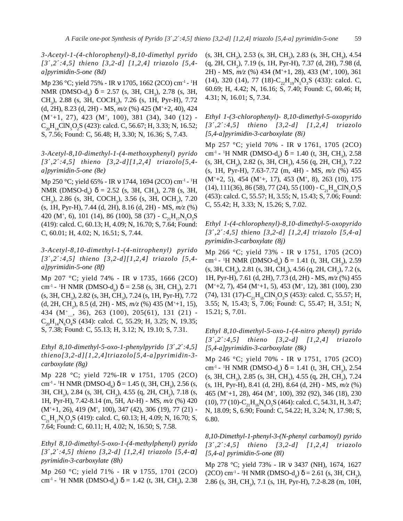*3-Acetyl-1-(4-chlorophenyl)-8,10-dimethyl pyrido [3*´*,2*´*:4,5] thieno [3,2-d] [1,2,4] triazolo [5,4 a]pyrimidin-5-one (8d)*

Mp 236 °C; yield 75% - IR ν 1705, 1662 (2CO) cm-1 - 1 H NMR (DMSO- $d_6$ )  $\delta = 2.57$  (s, 3H, CH<sub>3</sub>), 2.78 (s, 3H, CH<sub>3</sub>), 2.88 (s, 3H, COCH<sub>3</sub>), 7.26 (s, 1H, Pyr-H), 7.72 (d, 2H), 8.23 (d, 2H) - MS, *m/z* (%) 425 (M+ +2, 40), 424 (M++1, 27), 423 (M+, 100), 381 (34), 340 (12) -  $C_{20}H_{14}CIN_{5}O_{2}S$  (423): calcd. C, 56.67; H, 3.33; N, 16.52; S, 7.56; Found: C, 56.48; H, 3.30; N, 16.36; S, 7.43.

*3-Acetyl-8,10-dimethyl-1-(4-methoxyphenyl) pyrido [3*´*,2*´*:4,5] thieno [3,2-d][1,2,4] triazolo[5,4 a]pyrimidin-5-one (8e)*

Mp 250 °C; yield 65% - IR ν 1744, 1694 (2CO) cm<sup>-1</sup> - <sup>1</sup>H NMR (DMSO- $d_6$ )  $\delta = 2.52$  (s, 3H, CH<sub>3</sub>), 2.78 (s, 3H, CH<sub>3</sub>), 2.86 (s, 3H, COCH<sub>3</sub>), 3.56 (s, 3H, OCH<sub>3</sub>), 7.20 (s, 1H, Pyr-H), 7.44 (d, 2H), 8.16 (d, 2H) - MS, *m/z* (%) 420 (M<sup>+</sup>, 6), 101 (14), 86 (100), 58 (37) -  $C_{21}H_{17}N_{5}O_{3}S$ (419): calcd. C, 60.13; H, 4.09; N, 16.70; S, 7.64; Found: C, 60.01; H, 4.02; N, 16.51; S, 7.44.

*3-Acetyl-8,10-dimethyl-1-(4-nitrophenyl) pyrido [3*´*,2*´*:4,5] thieno [3,2-d][1,2,4] triazolo [5,4 a]pyrimidin-5-one (8f)*

Mp 207 °C; yield 74% - IR ν 1735, 1666 (2CO) cm<sup>-1</sup> - <sup>1</sup>H NMR (DMSO-d<sub>6</sub>)  $\delta$  = 2.58 (s, 3H, CH<sub>3</sub>), 2.71 (s, 3H, CH<sub>3</sub>), 2.82 (s, 3H, CH<sub>3</sub>), 7.24 (s, 1H, Pyr-H), 7.72 (d, 2H, CH<sub>2</sub>), 8.5 (d, 2H) - MS, *m*/z (%) 435 (M<sup>+</sup>+1, 15), 434 (M<sup>+</sup><sub>...</sub>, 36), 263 (100), 205(61), 131 (21) - $C_{20}H_{14}N_{6}O_{4}S$  (434): calcd. C, 55.29; H, 3.25; N, 19.35; S, 7.38; Found: C, 55.13; H, 3.12; N, 19.10; S, 7.31.

*Ethyl 8,10-dimethyl-5-oxo-1-phenylpyrido [3*´*,2*´*:4,5] thieno[3,2-d][1,2,4]triazolo[5,4-a]pyrimidin-3 carboxylate (8g)*

Mp 228 °C; yield 72%-IR ν 1751, 1705 (2CO) cm<sup>-1</sup> - <sup>1</sup>H NMR (DMSO-d<sub>6</sub>) δ = 1.45 (t, 3H, CH<sub>3</sub>), 2.56 (s, 3H, CH<sub>3</sub>), 2.84 (s, 3H, CH<sub>3</sub>), 4.55 (q, 2H, CH<sub>2</sub>), 7.18 (s, 1H, Pyr-H), 7.42-8.14 (m, 5H, Ar-H) - MS, *m/z* (%) 420 (M<sup>+</sup>+1, 26), 419 (M<sup>+</sup>, 100), 347 (42), 306 (19), 77 (21) - $C_{21}H_{17}N_5O_3S$  (419): calcd. C, 60.13; H, 4.09; N, 16.70; S, 7.64; Found: C, 60.11; H, 4.02; N, 16.50; S, 7.58.

*Ethyl 8,10-dimethyl-5-oxo-1-(4-methylphenyl) pyrido [3*´*,2*´*:4,5] thieno [3,2-d] [1,2,4] triazolo [5,4-*α*] pyrimidin-3-carboxylate (8h)*

Mp 260 °C; yield 71% - IR ν 1755, 1701 (2CO) cm<sup>-1</sup> - <sup>1</sup>H NMR (DMSO-d<sub>6</sub>) δ = 1.42 (t, 3H, CH<sub>3</sub>), 2.38

(s, 3H, CH<sub>3</sub>), 2.53 (s, 3H, CH<sub>3</sub>), 2.83 (s, 3H, CH<sub>3</sub>), 4.54  $(q, 2H, CH<sub>2</sub>)$ , 7.19 (s, 1H, Pyr-H), 7.37 (d, 2H), 7.98 (d, 2H) - MS, *m/z* (%) 434 (M<sup>+</sup>+1, 28), 433 (M<sup>+</sup>, 100), 361 (14), 320 (14), 77 (18)- $C_{22}H_{19}N_5O_3S$  (433): calcd. C, 60.69; H, 4.42; N, 16.16; S, 7.40; Found: C, 60.46; H, 4.31; N, 16.01; S, 7.34.

*Ethyl 1-(3-chlorophenyl)- 8,10-dimethyl-5-oxopyrido [3*´*,2*´*:4,5] thieno [3,2-d] [1,2,4] triazolo [5,4-a]pyrimidin-3-carboxylate (8i)*

Mp 257 °C; yield 70% - IR ν 1761, 1705 (2CO) cm<sup>-1</sup> **-** <sup>1</sup>H NMR (DMSO-d<sub>6</sub>) δ = 1.40 (t, 3H, CH<sub>3</sub>), 2.58 (s, 3H, CH<sub>3</sub>), 2.82 (s, 3H, CH<sub>3</sub>), 4.56 (q, 2H, CH<sub>2</sub>), 7.22 (s, 1H, Pyr-H), 7.63-7.72 (m, 4H) - MS, *m/z* (%) 455 (M+ +2, 5), 454 (M++, 17), 453 (M+, 8), 263 (10), 175 (14), 111(36), 86 (58), 77 (24), 55 (100) -  $C_{21}H_{16}CN_5O_3S$ (453): calcd. C, 55.57; H, 3.55; N, 15.43; S, 7.06; Found: C, 55.42; H, 3.33; N, 15.26; S, 7.02.

*Ethyl 1-(4-chlorophenyl)-8,10-dimethyl-5-oxopyrido [3*´*,2*´*:4,5] thieno [3,2-d] [1,2,4] triazolo [5,4-a] pyrimidin-3-carboxylate (8j)*

Mp 266 °C; yield 73% - IR ν 1751, 1705 (2CO) cm<sup>-1</sup> - <sup>1</sup>H NMR (DMSO-d<sub>6</sub>) δ = 1.41 (t, 3H, CH<sub>3</sub>), 2.59 (s, 3H, CH<sub>3</sub>), 2.81 (s, 3H, CH<sub>3</sub>), 4.56 (q, 2H, CH<sub>2</sub>), 7.2 (s, 1H, Pyr-H), 7.61 (d, 2H), 7.73 (d, 2H) - MS, *m/z* (%) 455  $(M^+ + 2, 7)$ , 454  $(M^+ + 1, 5)$ , 453  $(M^+$ , 12), 381 (100), 230 (74), 131 (17)- $C_{21}H_{16}CIN_{5}O_{3}S$  (453): calcd. C, 55.57; H, 3.55; N, 15.43; S, 7.06; Found: C, 55.47; H, 3.51; N, 15.21; S, 7.01.

*Ethyl 8,10-dimethyl-5-oxo-1-(4-nitro phenyl) pyrido [3*´*,2*´*:4,5] thieno [3,2-d] [1,2,4] triazolo [5,4-a]pyrimidin-3-carboxylate (8k)*

Mp 246 °C; yield 70% - IR ν 1751, 1705 (2CO) cm<sup>-1</sup> - <sup>1</sup>H NMR (DMSO-d<sub>6</sub>) δ = 1.41 (t, 3H, CH<sub>3</sub>), 2.54 (s, 3H, CH<sub>3</sub>), 2.85 (s, 3H, CH<sub>3</sub>), 4.55 (q, 2H, CH<sub>2</sub>), 7.24 (s, 1H, Pyr-H), 8.41 (d, 2H), 8.64 (d, 2H) - MS, *m/z* (%) 465 (M+ +1, 28), 464 (M+ , 100), 392 (92), 346 (18), 230 (10), 77 (10)- $C_{21}H_{16}N_6O_5S$  (464): calcd. C, 54.31, H, 3.47; N, 18.09; S, 6.90; Found: C, 54.22; H, 3.24; N, 17.98; S, 6.80.

*8,10-Dimethyl-1-phenyl-3-(N-phenyl carbamoyl) pyrido [3*´*,2*´*:4,5] thieno [3,2-d] [1,2,4] triazolo [5,4-a] pyrimidin-5-one (8l)*

Mp 278 °C; yield 73% - IR ν 3437 (NH), 1674, 1627 (2CO) cm<sup>-1</sup> - <sup>1</sup>H NMR (DMSO-d<sub>6</sub>)  $\delta$  = 2.61 (s, 3H, CH<sub>3</sub>), 2.86 (s, 3H, CH<sub>3</sub>), 7.1 (s, 1H, Pyr-H), 7.2-8.28 (m, 10H,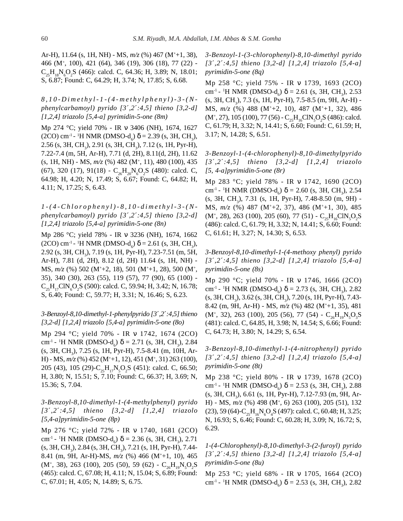Ar-H), 11.64 (s, 1H, NH) - MS, *m/z* (%) 467 (M+ +1, 38), 466 (M+ , 100), 421 (64), 346 (19), 306 (18), 77 (22) -  $C_{25}H_{18}N_{6}O_{2}S$  (466): calcd. C, 64.36; H, 3.89; N, 18.01; S, 6.87; Found: C, 64.29; H, 3.74; N, 17.85; S, 6.68.

# *8,10-Dimethyl-1-(4-methylphenyl)-3-(Nphenylcarbamoyl) pyrido [3*´*,2*´*:4,5] thieno [3,2-d] [1,2,4] triazolo [5,4-a] pyrimidin-5-one (8m)*

Mp 274 °C; yield 70% - IR ν 3406 (NH), 1674, 1627 (2CO) cm<sup>-1</sup> - <sup>1</sup>H NMR (DMSO-d<sub>6</sub>)  $\delta$  = 2.39 (s, 3H, CH<sub>3</sub>), 2.56 (s, 3H, CH<sub>3</sub>), 2.91 (s, 3H, CH<sub>3</sub>), 7.12 (s, 1H, Pyr-H), 7.22-7.4 (m, 5H, Ar-H), 7.71 (d, 2H), 8.11(d, 2H), 11.62 (s, 1H, NH) - MS, *m/z* (%) 482 (M+, 11), 480 (100), 435 (67), 320 (17), 91(18) -  $C_{26}H_{20}N_{6}O_{2}S$  (480): calcd. C, 64.98; H, 4.20; N, 17.49; S, 6.67; Found: C, 64.82; H, 4.11; N, 17.25; S, 6.43.

*1-(4-Chlorophenyl)-8,10-dimethyl-3-(Nphenylcarbamoyl) pyrido [3*´*,2*´*:4,5] thieno [3,2-d] [1,2,4] triazolo [5,4-a] pyrimidin-5-one (8n)*

Mp 286 °C; yield 78% - IR ν 3236 (NH), 1674, 1662 (2CO) cm<sup>-1</sup> - <sup>1</sup>H NMR (DMSO-d<sub>6</sub>)  $\delta$  = 2.61 (s, 3H, CH<sub>3</sub>), 2.92 (s, 3H, CH<sub>3</sub>), 7.19 (s, 1H, Pyr-H), 7.23-7.51 (m, 5H, Ar-H), 7.81 (d, 2H), 8.12 (d, 2H) 11.64 (s, 1H, NH) - MS,  $m/z$  (%) 502 (M<sup>+</sup>+2, 18), 501 (M<sup>+</sup>+1, 28), 500 (M<sup>+</sup>, 35), 340 (30), 263 (55), 119 (57), 77 (90), 65 (100) -  $C_{25}H_{17}CIN_{6}O_{2}S$  (500): calcd. C, 59.94; H, 3.42; N, 16.78; S, 6.40; Found: C, 59.77; H, 3.31; N, 16.46; S, 6.23.

# *3-Benzoyl-8,10-dimethyl-1-phenylpyrido [3*´*,2*´*:4,5] thieno [3,2-d] [1,2,4] triazolo [5,4-a] pyrimidin-5-one (8o)*

Mp 294 °C; yield 70% - IR ν 1742, 1674 (2CO) cm<sup>-1</sup> - <sup>1</sup>H NMR (DMSO-d<sub>6</sub>) δ = 2.71 (s, 3H, CH<sub>3</sub>), 2.84 (s, 3H, CH<sub>3</sub>), 7.25 (s, 1H, Pyr-H), 7.5-8.41 (m, 10H, Ar-H) - MS,  $m/z$  (%) 452 (M<sup>+</sup>+1, 12), 451 (M<sup>+</sup>, 31) 263 (100), 205 (43), 105 (29)-C<sub>25</sub>H<sub>17</sub>N<sub>5</sub>O<sub>2</sub>S (451): calcd. C, 66.50; H, 3.80; N, 15.51; S, 7.10; Found: C, 66.37; H, 3.69; N, 15.36; S, 7.04.

*3-Benzoyl-8,10-dimethyl-1-(4-methylphenyl) pyrido [3*´*,2*´*:4,5] thieno [3,2-d] [1,2,4] triazolo [5,4-a]pyrimidin-5-one (8p)*

Mp 276 °C; yield 72% - IR ν 1740, 1681 (2CO) cm<sup>-1</sup> - <sup>1</sup>H NMR (DMSO-d<sub>6</sub>)  $\delta$  = 2.36 (s, 3H, CH<sub>3</sub>), 2.71  $(s, 3H, CH<sub>3</sub>), 2.84 (s, 3H, CH<sub>3</sub>), 7.21 (s, 1H, Pyr-H), 7.44-$ 8.41 (m, 9H, Ar-H)-MS,  $m/z$  (%) 466 (M<sup>+</sup>+1, 10), 465  $(M^+, 38)$ , 263 (100), 205 (50), 59 (62) -  $C_{26}H_{19}N_5O_2S$ (465): calcd. C, 67.08; H, 4.11; N, 15.04; S, 6.89; Found: C, 67.01; H, 4.05; N, 14.89; S, 6.75.

*3-Benzoyl-1-(3-chlorophenyl)-8,10-dimethyl pyrido [3*´*,2*´*:4,5] thieno [3,2-d] [1,2,4] triazolo [5,4-a] pyrimidin-5-one (8q)*

Mp 258 °C; yield 75% - IR ν 1739, 1693 (2CO) cm<sup>-1</sup> - <sup>1</sup>H NMR (DMSO-d<sub>6</sub>)  $\delta$  = 2.61 (s, 3H, CH<sub>3</sub>), 2.53 (s, 3H, CH<sub>3</sub>), 7.3 (s, 1H, Pyr-H), 7.5-8.5 (m, 9H, Ar-H) -MS, *m/z* (%) 488 (M++2, 10), 487 (M++1, 32), 486  $(M^+, 27)$ , 105 (100), 77 (56) -  $C_{25}H_{16}CIN_{5}O_{2}S$  (486): calcd. C, 61.79; H, 3.32; N, 14.41; S, 6.60; Found: C, 61.59; H, 3.17; N, 14.28; S, 6.51.

*3-Benzoyl-1-(4-chlorophenyl)-8,10-dimethylpyrido [3*´*,2*´*:4,5] thieno [3,2-d] [1,2,4] triazolo [5, 4-a]pyrimidin-5-one (8r)*

Mp 283 °C; yield 78% - IR ν 1742, 1690 (2CO) cm<sup>-1</sup> - <sup>1</sup>H NMR (DMSO-d<sub>6</sub>) δ = 2.60 (s, 3H, CH<sub>3</sub>), 2.54 (s, 3H, CH<sub>3</sub>), 7.31 (s, 1H, Pyr-H), 7.48-8.50 (m, 9H) -MS, *m/z* (%) 487 (M++2, 37), 486 (M++1, 30), 485  $(M^+, 28)$ , 263 (100), 205 (60), 77 (51) -  $C_{25}H_{16}CN_5O_2S$ (486): calcd. C, 61.79; H, 3.32; N, 14.41; S, 6.60; Found: C, 61.61; H, 3.27; N, 14.30; S, 6.53.

*3-Benzoyl-8,10-dimethyl-1-(4-methoxy phenyl) pyrido [3*´*,2*´*:4,5] thieno [3,2-d] [1,2,4] triazolo [5,4-a] pyrimidin-5-one (8s)*

Mp 290 °C; yield 70% - IR ν 1746, 1666 (2CO) cm<sup>-1</sup> - <sup>1</sup>H NMR (DMSO-d<sub>6</sub>)  $\delta$  = 2.73 (s, 3H, CH<sub>3</sub>), 2.82  $(s, 3H, CH<sub>3</sub>), 3.62 (s, 3H, CH<sub>3</sub>), 7.20 (s, 1H, Pyr-H), 7.43-$ 8.42 (m, 9H, Ar-H) - MS,  $m/z$  (%) 482 (M<sup>+</sup>+1, 35), 481  $(M^+, 32)$ , 263 (100), 205 (56), 77 (54) -  $C_{26}H_{19}N_{5}O_{3}S$ (481): calcd. C, 64.85, H, 3.98; N, 14.54; S, 6.66; Found: C, 64.73; H, 3.80; N, 14.29; S, 6.54.

*3-Benzoyl-8,10-dimethyl-1-(4-nitrophenyl) pyrido [3*´*,2*´*:4,5] thieno [3,2-d] [1,2,4] triazolo [5,4-a] pyrimidin-5-one (8t)*

Mp 238 °C; yield 80% - IR ν 1739, 1678 (2CO) cm<sup>-1</sup> - <sup>1</sup>H NMR (DMSO-d<sub>6</sub>) δ = 2.53 (s, 3H, CH<sub>3</sub>), 2.88 (s, 3H, CH<sub>3</sub>), 6.61 (s, 1H, Pyr-H), 7.12-7.93 (m, 9H, Ar-H) - MS,  $m/z$  (%) 498 (M<sup>+</sup>, 6) 263 (100), 205 (51), 132 (23), 59 (64)- $C_{25}H_{16}N_{6}O_{4}S$  (497): calcd. C, 60.48; H, 3.25; N, 16.93; S, 6.46; Found: C, 60.28; H, 3.09; N, 16.72; S, 6.29.

*1-(4-Chlorophenyl)-8,10-dimethyl-3-(2-furoyl) pyrido [3*´*,2*´*:4,5] thieno [3,2-d] [1,2,4] triazolo [5,4-a] pyrimidin-5-one (8u)*

Mp 253 °C; yield 68% - IR ν 1705, 1664 (2CO) cm<sup>-1</sup> - <sup>1</sup>H NMR (DMSO-d<sub>6</sub>)  $\delta$  = 2.53 (s, 3H, CH<sub>3</sub>), 2.82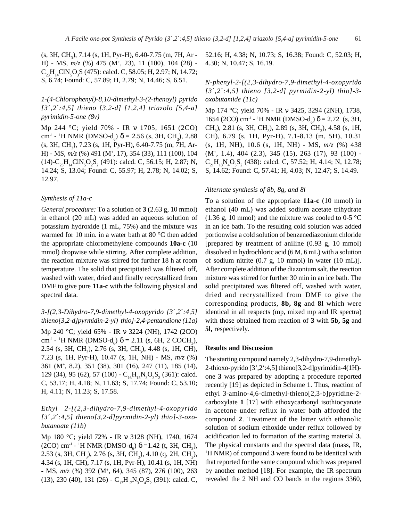(s, 3H, CH<sub>3</sub>), 7.14 (s, 1H, Pyr-H), 6.40-7.75 (m, 7H, Ar -H) - MS, *m/z* (%) 475 (M+ , 23), 11 (100), 104 (28) -  $C_{23}H_{14}CIN_{5}O_{3}S$  (475): calcd. C, 58.05; H, 2.97; N, 14.72; S, 6.74; Found: C, 57.89; H, 2.79; N, 14.46; S, 6.51.

# *1-(4-Chlorophenyl)-8,10-dimethyl-3-(2-thenoyl) pyrido [3*´*,2*´*:4,5] thieno [3,2-d] [1,2,4] triazolo [5,4-a] pyrimidin-5-one (8v)*

Mp 244 °C; yield 70% - IR ν 1705, 1651 (2CO) cm<sup>-1</sup> - <sup>1</sup>H NMR (DMSO-d<sub>6</sub>)  $\delta$  = 2.56 (s, 3H, CH<sub>3</sub>), 2.88 (s, 3H, CH<sub>3</sub>), 7.23 (s, 1H, Pyr-H), 6.40-7.75 (m, 7H, Ar-H) - MS, *m/z* (%) 491 (M+ , 17), 354 (33), 111 (100), 104  $(14)$ -C<sub>23</sub>H<sub>14</sub>ClN<sub>5</sub>O<sub>2</sub>S<sub>2</sub> (491): calcd. C, 56.15; H, 2.87; N, 14.24; S, 13.04; Found: C, 55.97; H, 2.78; N, 14.02; S, 12.97.

#### *Synthesis of 11a-c*

*General procedure:* To a solution of **3** (2.63 g, 10 mmol) in ethanol (20 mL) was added an aqueous solution of potassium hydroxide (1 mL, 75%) and the mixture was warmed for 10 min. in a water bath at 80 °C then added the appropriate chloromethylene compounds **10a-c** (10 mmol) dropwise while stirring. After complete addition, the reaction mixture was stirred for further 18 h at room temperature. The solid that precipitated was filtered off, washed with water, dried and finally recrystallized from DMF to give pure **11a-c** with the following physical and spectral data.

#### *3-[(2,3-Dihydro-7,9-dimethyl-4-oxopyrido [3*´*,2*´*:4,5] thieno[3,2-d]pyrmidin-2-yl) thio]-2,4-pentandione (11a)*

Mp 240 °C; yield 65% - IR ν 3224 (NH), 1742 (2CO) cm<sup>-1</sup> - <sup>1</sup>H NMR (DMSO-d<sub>6</sub>)  $\delta$  = 2.11 (s, 6H, 2 COCH<sub>3</sub>), 2.54 (s, 3H, CH<sub>3</sub>), 2.76 (s, 3H, CH<sub>3</sub>), 4.48 (s, 1H, CH), 7.23 (s, 1H, Pyr-H), 10.47 (s, 1H, NH) - MS, *m/z* (%) 361 (M+ , 8.2), 351 (38), 301 (16), 247 (11), 185 (14), 129 (34), 95 (62), 57 (100) - C<sub>16</sub>H<sub>15</sub>N<sub>3</sub>O<sub>3</sub>S<sub>2</sub> (361): calcd. C, 53.17; H, 4.18; N, 11.63; S, 17.74; Found: C, 53.10; H, 4.11; N, 11.23; S, 17.58.

*Ethyl 2-[(2,3-dihydro-7,9-dimethyl-4-oxopyrido [3*´*,2*´*:4,5] thieno[3,2-d]pyrmidin-2-yl) thio]-3-oxobutanoate (11b)*

Mp 180 °C; yield 72% - IR ν 3128 (NH), 1740, 1674 (2CO) cm<sup>-1</sup> - <sup>1</sup>H NMR (DMSO-d<sub>6</sub>)  $\delta$  =1.42 (t, 3H, CH<sub>3</sub>), 2.53 (s, 3H, CH<sub>3</sub>), 2.76 (s, 3H, CH<sub>3</sub>), 4.10 (q, 2H, CH<sub>2</sub>), 4.34 (s, 1H, CH), 7.17 (s, 1H, Pyr-H), 10.41 (s, 1H, NH) - MS, *m/z* (%) 392 (M+ , 64), 345 (87), 276 (100), 263 (13), 230 (40), 131 (26) - C<sub>17</sub>H<sub>17</sub>N<sub>3</sub>O<sub>4</sub>S<sub>2</sub> (391): calcd. C,

52.16; H, 4.38; N, 10.73; S, 16.38; Found: C, 52.03; H, 4.30; N, 10.47; S, 16.19.

*N-phenyl-2-[(2,3-dihydro-7,9-dimethyl-4-oxopyrido [3*´*,2*´*:4,5] thieno [3,2-d] pyrmidin-2-yl) thio]-3 oxobutamide (11c)*

Mp 174 °C; yield 70% - IR ν 3425, 3294 (2NH), 1738, 1654 (2CO) cm<sup>-1</sup> - <sup>1</sup>H NMR (DMSO-d<sub>6</sub>) δ = 2.72 (s, 3H, CH<sub>3</sub>), 2.81 (s, 3H, CH<sub>3</sub>), 2.89 (s, 3H, CH<sub>3</sub>), 4.58 (s, 1H, CH), 6.79 (s, 1H, Pyr-H), 7.1-8.13 (m, 5H), 10.31 (s, 1H, NH), 10.6 (s, 1H, NH) - MS, *m/z* (%) 438 (M+, 1.4), 404 (2.3), 345 (15), 263 (17), 93 (100) -  $C_{21}H_{18}N_4O_3S_2$  (438): calcd. C, 57.52; H, 4.14; N, 12.78; S, 14.62; Found: C, 57.41; H, 4.03; N, 12.47; S, 14.49.

#### *Alternate synthesis of 8b, 8g, and 8l*

To a solution of the appropriate **11a-c** (10 mmol) in ethanol (40 mL) was added sodium acetate trihydrate (1.36 g, 10 mmol) and the mixture was cooled to 0-5  $^{\circ}$ C in an ice bath. To the resulting cold solution was added portionwise a cold solution of benzenediazonium chloride [prepared by treatment of aniline (0.93 g, 10 mmol) dissolved in hydrochloric acid (6 M, 6 mL) with a solution of sodium nitrite (0.7 g, 10 mmol) in water (10 mL)]. After complete addition of the diazonium salt, the reaction mixture was stirred for further 30 min in an ice bath. The solid precipitated was filtered off, washed with water, dried and recrystallized from DMF to give the corresponding products, **8b, 8g** and **8l** which were identical in all respects (mp, mixed mp and IR spectra) with those obtained from reaction of **3** with **5b, 5g** and **5l,** respectively.

#### **Results and Discussion**

The starting compound namely 2,3-dihydro-7,9-dimethyl-2-thioxo-pyrido [3',2':4,5] thieno[3,2-d]pyrimidin-4(1H) one **3** was prepared by adopting a procedure reported recently [19] as depicted in Scheme 1. Thus, reaction of ethyl 3-amino-4,6-dimethyl-thieno[2,3-b]pyridine-2 carboxylate **1** [17] with ethoxycarbonyl isothiocyanate in acetone under reflux in water bath afforded the compound **2**. Treatment of the latter with ethanolic solution of sodium ethoxide under reflux followed by acidification led to formation of the starting material **3**. The physical constants and the spectral data (mass, IR, 1 H NMR) of compound **3** were found to be identical with that reported for the same compound which was prepared by another method [18]. For example, the IR spectrum revealed the 2 NH and CO bands in the regions 3360,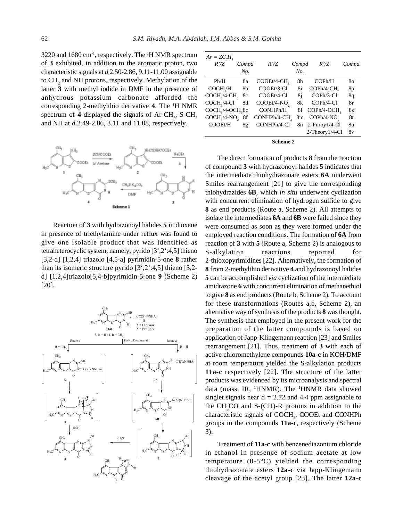3220 and 1680 cm<sup>-1</sup>, respectively. The <sup>1</sup>H NMR spectrum of **3** exhibited, in addition to the aromatic proton, two characteristic signals at *d* 2.50-2.86, 9.11-11.00 assignable to  $\text{CH}_3$  and NH protons, respectively. Methylation of the latter **3** with methyl iodide in DMF in the presence of anhydrous potassium carbonate afforded the corresponding 2-methylthio derivative **4**. The 1 H NMR spectrum of 4 displayed the signals of  $Ar-CH_3$ ,  $S-CH_3$ and NH at *d* 2.49-2.86, 3.11 and 11.08, respectively.



Reaction of **3** with hydrazonoyl halides **5** in dioxane in presence of triethylamine under reflux was found to give one isolable product that was identified as tetraheterocyclic system, namely, pyrido [3',2':4,5] thieno [3,2-d] [1,2,4] triazolo [4,5-a] pyrimidin-5-one **8** rather than its isomeric structure pyrido  $[3^{\degree}, 2^{\degree} \cdot 4, 5]$  thieno  $[3, 2$ d] [1,2,4]triazolo[5,4-b]pyrimidin-5-one **9** (Scheme 2) [20].



| $Ar = ZC_{6}H_{4}$<br>R'/Z               | Compd<br>No. | R'/Z                    | Compd<br>No. | R'/Z                        | Compd |
|------------------------------------------|--------------|-------------------------|--------------|-----------------------------|-------|
| Ph/H                                     | 8a           | COOEt/4-CH <sub>2</sub> | 8h           | COPh/H                      | 80    |
| COCH <sub>2</sub> /H                     | 8b           | COOEt/3-Cl              | 8i           | $\text{COPh}/4\text{-CH}$ , | 8p    |
| $COCH3/4-CH3$                            | 8c           | COOEt/4-Cl              | 8i           | COPh/3-Cl                   | 8q    |
| $COCH3/4-Cl$                             | 8d           | COOEt/4-NO <sub>2</sub> | 8k           | COPh/4-Cl                   | 8r    |
| COCH <sub>3</sub> /4-OCH <sub>3</sub> 8c |              | CONHPh/H                | 81           | COPh/4-OCH <sub>2</sub>     | 8s    |
| $COCH3/4-NO2$                            | 8f           | CONHPh/4-CH,            | 8m           | $COPh/4-NO2$                | 8t    |
| COOEt/H                                  | 8g           | CONHPh/4-Cl             |              | $8n$ 2-Furoy 1/4-Cl         | 8u    |
|                                          |              |                         |              | 2-Theory1/4-Cl              | 8v    |

**Scheme 2**

The direct formation of products **8** from the reaction of compound **3** with hydrazonoyl halides **5** indicates that the intermediate thiohydrazonate esters **6A** underwent Smiles rearrangement [21] to give the corresponding thiohydrazides **6B**, which *in situ* underwent cyclization with concurrent elimination of hydrogen sulfide to give **8** as end products (Route a, Scheme 2). All attempts to isolate the intermediates **6A** and **6B** were failed since they were consumed as soon as they were formed under the employed reaction conditions. The formation of **6A** from reaction of **3** with **5** (Route a, Scheme 2) is analogous to S-alkylation reactions reported for 2-thioxopyrimidines [22]. Alternatively, the formation of **8** from 2-methylthio derivative **4** and hydrazonoyl halides **5** can be accomplished *via* cyclization of the intermediate amidrazone **6** with concurrent elimination of methanethiol to give **8** as end products (Route b, Scheme 2). To account for these transformations (Routes a,b, Scheme 2), an alternative way of synthesis of the products **8** was thought. The synthesis that employed in the present work for the preparation of the latter compounds is based on application of Japp-Klingemann reaction [23] and Smiles rearrangement [21]. Thus, treatment of **3** with each of active chloromethylene compounds **10a-c** in KOH/DMF at room temperature yielded the S-alkylation products **11a-c** respectively [22]. The structure of the latter products was evidenced by its microanalysis and spectral data (mass, IR, <sup>1</sup>HNMR). The <sup>1</sup>HNMR data showed singlet signals near  $d = 2.72$  and 4.4 ppm assignable to the  $CH<sub>3</sub>CO$  and S-(CH)-R protons in addition to the characteristic signals of COCH<sub>3</sub>, COOEt and CONHPh groups in the compounds **11a-c**, respectively (Scheme 3).

Treatment of **11a-c** with benzenediazonium chloride in ethanol in presence of sodium acetate at low temperature (0-5°C) yielded the corresponding thiohydrazonate esters **12a-c** via Japp-Klingemann cleavage of the acetyl group [23]. The latter **12a-c**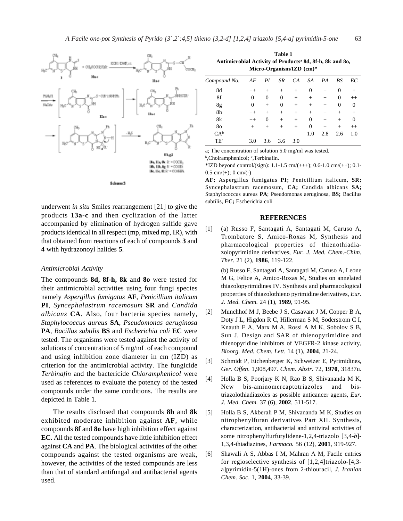

underwent *in situ* Smiles rearrangement [21] to give the products **13a-c** and then cyclization of the latter accompanied by elimination of hydrogen sulfide gave products identical in all respect (mp, mixed mp, IR), with that obtained from reactions of each of compounds **3** and **4** with hydrazonoyl halides **5**.

#### *Antimicrobial Activity*

The compounds **8d, 8f-h, 8k** and **8o** were tested for their antimicrobial activities using four fungi species namely *Aspergillus fumigatus* **AF**, *Penicillium italicum* **PI**, *Syncephalastrum racemosum* **SR** and *Candida albicans* **CA**. Also, four bacteria species namely, *Staphylococcus aureus* **SA**, *Pseudomonas aeruginosa* **PA**, *Bacillus subtilis* **BS** and *Escherichia coli* **EC** were tested. The organisms were tested against the activity of solutions of concentration of 5 mg/mL of each compound and using inhibition zone diameter in cm (IZD) as criterion for the antimicrobial activity. The fungicide *Terbinafin* and the bactericide *Chloramphenicol* were used as references to evaluate the potency of the tested compounds under the same conditions. The results are depicted in Table 1.

The results disclosed that compounds **8h** and **8k** exhibited moderate inhibition against **AF**, while compounds **8f** and **8o** have high inhibition effect against **EC**. All the tested compounds have little inhibition effect against **CA** and **PA**. The biological activities of the other compounds against the tested organisms are weak, however, the activities of the tested compounds are less than that of standard antifungal and antibacterial agents used.

**Table 1 Antimicrobial Activity of Productsa 8d, 8f-h, 8k and 8o, Micro-Organism/IZD (cm)\***

| Compound No.    | AF      | Pl             | SR           | CA     | SA     | PA     | BS             | EС      |
|-----------------|---------|----------------|--------------|--------|--------|--------|----------------|---------|
| 8d              | $^{++}$ | $^{+}$         | $^{+}$       | $^{+}$ | 0      | $^{+}$ | 0              | $^+$    |
| 8f              | 0       | $\overline{0}$ | $\mathbf{0}$ | $^{+}$ | $^{+}$ | $^{+}$ | $\overline{0}$ | $^{++}$ |
| 8g              | 0       | $^{+}$         | $\mathbf{0}$ | $^{+}$ | $^{+}$ | $^{+}$ | 0              | 0       |
| 8h              | $++$    | $^{+}$         | $^{+}$       | $^{+}$ | $^{+}$ | $^{+}$ | $^{+}$         | $^{+}$  |
| 8k              | $++$    | 0              | $^{+}$       | $^{+}$ | 0      | $^{+}$ | $^{+}$         | 0       |
| 80              | $^+$    | $^{+}$         | $^{+}$       | $^{+}$ | 0      | $^{+}$ | $^{+}$         | $^{++}$ |
| CA <sup>b</sup> |         |                |              |        | 1.0    | 2.8    | 2.6            | 1.0     |
| TE <sup>c</sup> | 3.0     | 3.6            | 3.6          | 3.0    |        |        |                |         |
|                 |         |                |              |        |        |        |                |         |

a; The concentration of solution 5.0 mg/ml was tested.

<sup>b</sup>,Cholramphenicol; <sup>c</sup>,Terbinafin.

\*IZD beyond control/(sign): 1.1-1.5 cm/(+++); 0.6-1.0 cm/(++); 0.1-  $0.5 \text{ cm}/(+); 0 \text{ cm}/(-)$ 

**AF;** Aspergillus fumigatus **PI;** Penicillium italicum, **SR;** Syncephalastrum racemosum, **CA;** Candida albicans **SA;** Staphylococcus aureus **PA**; Pseudomonas aeruginosa, **BS;** Bacillus subtilis, **EC;** Escherichia coli

#### **REFERENCES**

[1] (a) Russo F, Santagati A, Santagati M, Caruso A, Trombatore S, Amico-Roxas M, Synthesis and pharmacological properties of thienothiadiazolopyrimidine derivatives, *Eur. J. Med. Chem.-Chim. Ther.* 21 (2), **1986**, 119-122.

(b) Russo F, Santagati A, Santagati M, Caruso A, Leone M G, Felice A, Amico-Roxas M, Studies on annelated thiazolopyrimidines IV. Synthesis and pharmacological properties of thiazolothieno pyrimidine derivatives, *Eur. J. Med. Chem.* 24 (1), **1989**, 91-95.

- [2] Munchhof M J, Beebe J S, Casavant J M, Copper B A, Doty J L, Higdon R C, Hillerman S M, Soderstrom C I, Knauth E A, Marx M A, Rossi A M K, Sobolov S B, Sun J, Design and SAR of thienopyrimidine and thienopyridine inhibitors of VEGFR-2 kinase activity, *Bioorg. Med. Chem. Lett*. 14 (1), **2004**, 21-24.
- [3] Schmidt P, Eichenberger K, Schweizer E, Pyrimidines, *Ger. Offen*. 1,908,497. *Chem. Abstr*. 72, **1970**, 31837u.
- [4] Holla B S, Poorjary K N, Rao B S, Shivananda M K, New bis-aminomercaptotriazoles and bistriazolothiadiazoles as possible anticancer agents, *Eur. J. Med. Chem.* 37 (6), **2002**, 511-517.
- [5] Holla B S, Akberali P M, Shivananda M K, Studies on nitrophenylfuran derivatives Part XII. Synthesis, characterization, antibacterial and antiviral activities of some nitrophenylfurfurylidene-1,2,4-triazolo [3,4-*b*]- 1,3,4-thiadiazines, *Farmaco.* 56 (12), **2001**, 919-927.
- [6] Shawali A S, Abbas I M, Mahran A M, Facile entries for regioselective synthesis of [1,2,4]triazolo-[4,3 a]pyrimidin-5(1H)-ones from 2-thiouracil, *J. Iranian Chem. Soc*. 1, **2004**, 33-39.